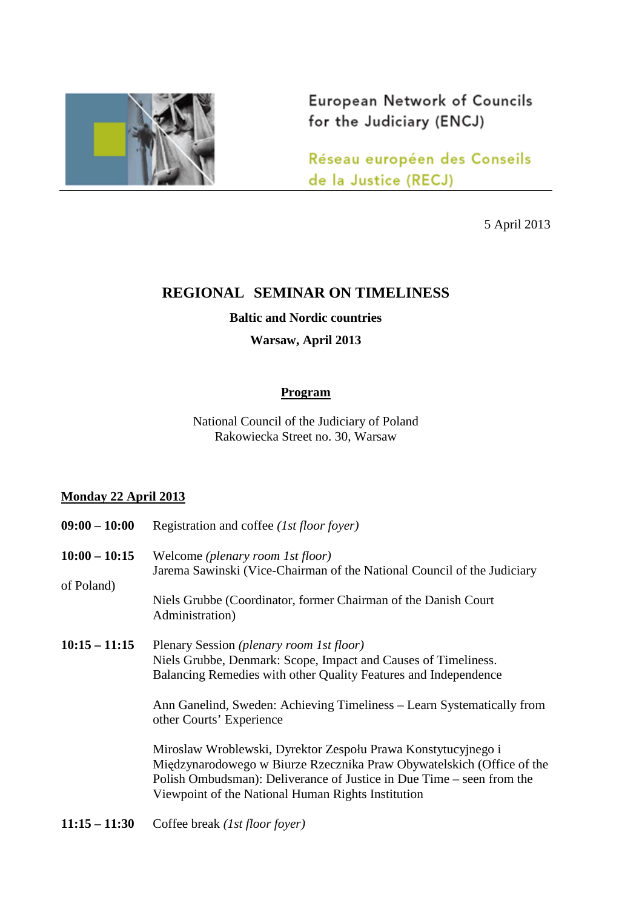

European Network of Councils for the Judiciary (ENCJ)

Réseau européen des Conseils de la Justice (RECJ)

5 April 2013

# **REGIONAL SEMINAR ON TIMELINESS**

**Baltic and Nordic countries**

**Warsaw, April 2013**

#### **Program**

National Council of the Judiciary of Poland Rakowiecka Street no. 30, Warsaw

## **Monday 22 April 2013**

| $09:00 - 10:00$               | Registration and coffee (1st floor foyer)                                                                                                                                                                                                                                                                                                                                                                                                                                                                                                                    |
|-------------------------------|--------------------------------------------------------------------------------------------------------------------------------------------------------------------------------------------------------------------------------------------------------------------------------------------------------------------------------------------------------------------------------------------------------------------------------------------------------------------------------------------------------------------------------------------------------------|
| $10:00 - 10:15$<br>of Poland) | Welcome (plenary room 1st floor)<br>Jarema Sawinski (Vice-Chairman of the National Council of the Judiciary<br>Niels Grubbe (Coordinator, former Chairman of the Danish Court<br>Administration)                                                                                                                                                                                                                                                                                                                                                             |
| $10:15 - 11:15$               | Plenary Session (plenary room 1st floor)<br>Niels Grubbe, Denmark: Scope, Impact and Causes of Timeliness.<br>Balancing Remedies with other Quality Features and Independence<br>Ann Ganelind, Sweden: Achieving Timeliness – Learn Systematically from<br>other Courts' Experience<br>Miroslaw Wroblewski, Dyrektor Zespołu Prawa Konstytucyjnego i<br>Międzynarodowego w Biurze Rzecznika Praw Obywatelskich (Office of the<br>Polish Ombudsman): Deliverance of Justice in Due Time – seen from the<br>Viewpoint of the National Human Rights Institution |
|                               |                                                                                                                                                                                                                                                                                                                                                                                                                                                                                                                                                              |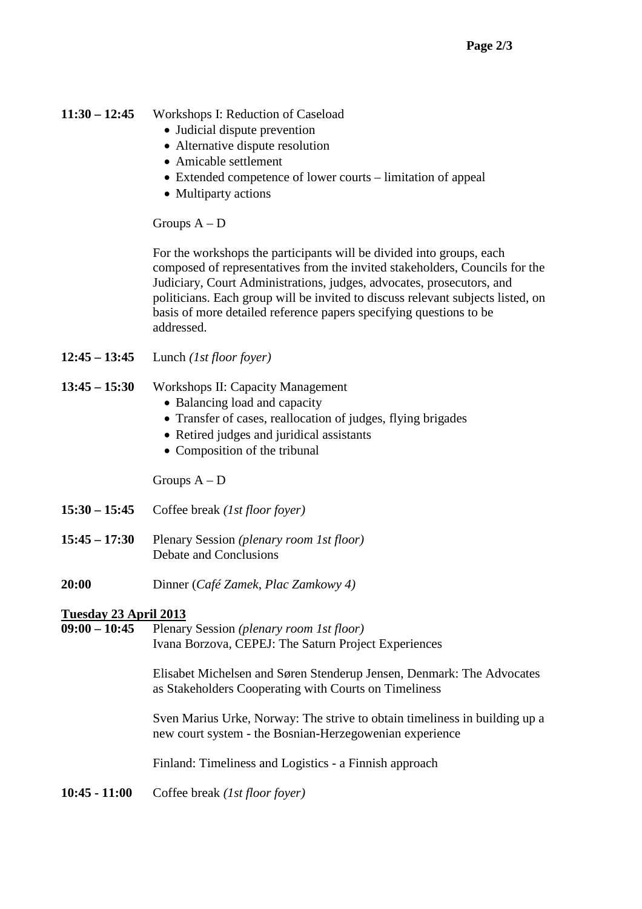## **11:30 – 12:45** Workshops I: Reduction of Caseload

- Judicial dispute prevention
- Alternative dispute resolution
- Amicable settlement
- Extended competence of lower courts limitation of appeal
- Multiparty actions

Groups A – D

For the workshops the participants will be divided into groups, each composed of representatives from the invited stakeholders, Councils for the Judiciary, Court Administrations, judges, advocates, prosecutors, and politicians. Each group will be invited to discuss relevant subjects listed, on basis of more detailed reference papers specifying questions to be addressed.

**12:45 – 13:45** Lunch *(1st floor foyer)*

## **13:45 – 15:30** Workshops II: Capacity Management

- Balancing load and capacity
- Transfer of cases, reallocation of judges, flying brigades
- Retired judges and juridical assistants
- Composition of the tribunal

Groups A – D

- **15:30 15:45** Coffee break *(1st floor foyer)*
- **15:45 17:30** Plenary Session *(plenary room 1st floor)* Debate and Conclusions
- **20:00** Dinner (*Café Zamek, Plac Zamkowy 4)*

## **Tuesday 23 April 2013**

**09:00 – 10:45** Plenary Session *(plenary room 1st floor)* Ivana Borzova, CEPEJ: The Saturn Project Experiences

> Elisabet Michelsen and Søren Stenderup Jensen, Denmark: The Advocates as Stakeholders Cooperating with Courts on Timeliness

> Sven Marius Urke, Norway: The strive to obtain timeliness in building up a new court system - the Bosnian-Herzegowenian experience

Finland: Timeliness and Logistics - a Finnish approach

**10:45 - 11:00** Coffee break *(1st floor foyer)*